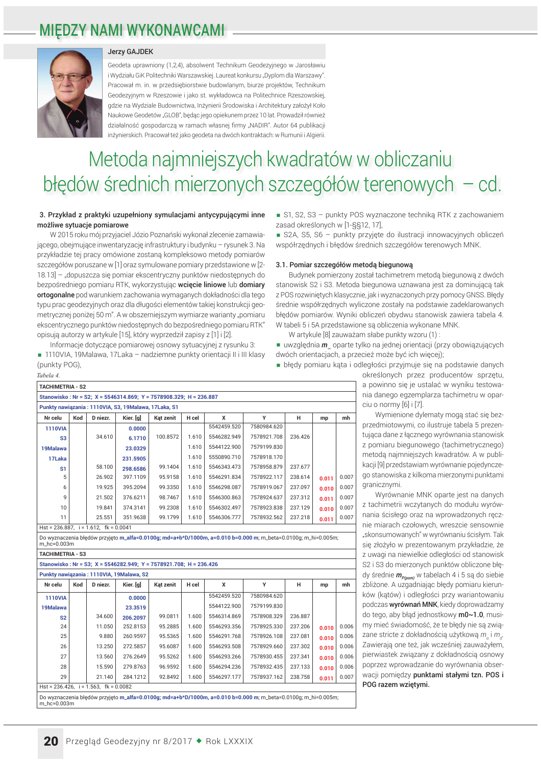### **MIEDZY NAMI WYKONAWCAMI**



### Jerzy GAJDEK

Geodeta uprawniony (1,2,4), absolwent Technikum Geodezyjnego w Jarosławiu i Wydziału GiK Politechniki Warszawskiej. Laureat konkursu "Dyplom dla Warszawy" Pracował m. in. w przedsiębiorstwie budowlanym, biurze projektów, Technikum Geodezyjnym w Rzeszowie i jako st. wykładowca na Politechnice Rzeszowskiej, gdzie na Wydziale Budownictwa, Inżynierii Środowiska i Architektury założył Koło Naukowe Geodetów "GLOB", będąc jego opiekunem przez 10 lat. Prowadził również działalność gospodarczą w ramach własnej firmy "NADIR". Autor 64 publikacji inżynierskich. Pracował też jako geodeta na dwóch kontraktach: w Rumunii i Algierii.

# Metoda najmniejszych kwadratów w obliczaniu błędów średnich mierzonych szczegółów terenowych - cd.

### 3. Przykład z praktyki uzupełniony symulaciami antycypującymi inne możliwe sytuacje pomiarowe

W 2015 roku mój przyjaciel Józio Poznański wykonał zlecenie zamawiaiacego, obeimujące inwentaryzącie infrastruktury i budynku – rysunek 3. Na przykładzie tej pracy omówione zostaną kompleksowo metody pomiarów szczegółów poruszane w [1] oraz symulowane pomiary przedstawione w [2-18.13] - "dopuszcza się pomiar ekscentryczny punktów niedostępnych do bezpośredniego pomiaru RTK, wykorzystując wcięcie liniowe lub domiary ortogonalne pod warunkiem zachowania wymaganych dokładności dla tego typu prac geodezyjnych oraz dla długości elementów takiej konstrukcji geometrycznej poniżej 50 m". A w obszerniejszym wymiarze warianty "pomiaru ekscentrycznego punktów niedostępnych do bezpośredniego pomiaru RTK" opisują autorzy w artykulę [15], który wyprzedził zapisy z [1] i [2].

Informacje dotyczące pomiarowej osnowy sytuacyjnej z rysunku 3:

1110VIA, 19Malawa, 17Laka - nadziemne punkty orientacji II i III klasy (punkty POG). Tabela 4.

| <b>TACHIMETRIA - S2</b>                              |     |          |                                                                    |           |       |             |                                                                                                                |         |       |      |
|------------------------------------------------------|-----|----------|--------------------------------------------------------------------|-----------|-------|-------------|----------------------------------------------------------------------------------------------------------------|---------|-------|------|
|                                                      |     |          | Stanowisko: Nr = S2; X = 5546314.869; Y = 7578908.329; H = 236.887 |           |       |             |                                                                                                                |         |       |      |
| Punkty nawiązania: 1110VIA, S3, 19Malawa, 17Laka, S1 |     |          |                                                                    |           |       |             |                                                                                                                |         |       |      |
| Nr celu                                              | Kod | D niezr. | Kier. [g]                                                          | Kat zenit | H cel | x           | Υ                                                                                                              | н       | mp    | mh   |
| <b>1110VIA</b>                                       |     |          | 0.0000                                                             |           |       | 5542459.520 | 7580984.620                                                                                                    |         |       |      |
| S <sub>3</sub>                                       |     | 34.610   | 6.1710                                                             | 100.8572  | 1.610 | 5546282.949 | 7578921.708                                                                                                    | 236.426 |       |      |
| 19Malawa                                             |     |          | 23.0329                                                            |           | 1.610 | 5544122.900 | 7579199.830                                                                                                    |         |       |      |
| 17Laka                                               |     |          | 231.5905                                                           |           | 1.610 | 5550890.710 | 7578918.170                                                                                                    |         |       |      |
| S <sub>1</sub>                                       |     | 58.100   | 298.6586                                                           | 99.1404   | 1.610 | 5546343.473 | 7578958.879                                                                                                    | 237.677 |       |      |
| 5                                                    |     | 26.902   | 397.1109                                                           | 95.9158   | 1.610 | 5546291.834 | 7578922.117                                                                                                    | 238.614 | 0.011 | 0.00 |
| 6                                                    |     | 19.925   | 395.2094                                                           | 99.3350   | 1.610 | 5546298.087 | 7578919.067                                                                                                    | 237.097 | 0.010 | 0.00 |
| 9                                                    |     | 21.502   | 376.6211                                                           | 98.7467   | 1.610 | 5546300.863 | 7578924.637                                                                                                    | 237.312 | 0.011 | 0.00 |
| 10                                                   |     | 19.841   | 374.3141                                                           | 99.2308   | 1.610 | 5546302.497 | 7578923.838                                                                                                    | 237.129 | 0.010 | 0.00 |
| 11                                                   |     | 25.551   | 351.9638                                                           | 99.1799   | 1.610 | 5546306.777 | 7578932.562                                                                                                    | 237.218 | 0.011 | 0.00 |
| Hst = 236.887, $i = 1.612$ , $fk = 0.0041$           |     |          |                                                                    |           |       |             |                                                                                                                |         |       |      |
|                                                      |     |          |                                                                    |           |       |             | Do wyznaczenia błedów przyjeto m_alfa=0.0100g; md=a+b*D/1000m, a=0.010 b=0.000 m; m_beta=0.0100g; m_hi=0.005m; |         |       |      |
| m hc=0.003m                                          |     |          |                                                                    |           |       |             |                                                                                                                |         |       |      |
| <b>TACHIMETRIA - S3</b>                              |     |          |                                                                    |           |       |             |                                                                                                                |         |       |      |
|                                                      |     |          | Stanowisko: Nr = S3; X = 5546282.949; Y = 7578921.708; H = 236.426 |           |       |             |                                                                                                                |         |       |      |
|                                                      |     |          | Punkty nawiązania: 1110VIA, 19Malawa, S2                           |           |       |             |                                                                                                                |         |       |      |
| Nr celu                                              | Kod | D niezr. | Kier. [g]                                                          | Kat zenit | H cel | x           | Y                                                                                                              | н       | mp    | mh   |
| <b>1110VIA</b>                                       |     |          | 0.0000                                                             |           |       | 5542459.520 | 7580984.620                                                                                                    |         |       |      |
| 19Malawa                                             |     |          | 23.3519                                                            |           |       | 5544122.900 | 7579199.830                                                                                                    |         |       |      |
| S <sub>2</sub>                                       |     | 34.600   | 206.2097                                                           | 99.0811   | 1.600 | 5546314.869 | 7578908.329                                                                                                    | 236.887 |       |      |
| 24                                                   |     | 11.050   | 252.8153                                                           | 95.2885   | 1.600 | 5546293.356 | 7578925.330                                                                                                    | 237.206 | 0.010 | 0.00 |
| 25                                                   |     | 9.880    | 260.9597                                                           | 95.5365   | 1.600 | 5546291.768 | 7578926.108                                                                                                    | 237.081 | 0.010 | 0.00 |
| 26                                                   |     | 13.250   | 272.5857                                                           | 95.6087   | 1.600 | 5546293.508 | 7578929.660                                                                                                    | 237.302 | 0.010 | 0.00 |
| 27                                                   |     | 13.560   | 276.2649                                                           | 95.5262   | 1.600 | 5546293.266 | 7578930.455                                                                                                    | 237.341 | 0.010 | 0.00 |
| 28                                                   |     | 15.590   | 279.8763                                                           | 96.9592   | 1.600 | 5546294.236 | 7578932.435                                                                                                    | 237.133 | 0.010 | 0.00 |
| 29                                                   |     | 21.140   | 284.1212                                                           | 92.8492   | 1.600 | 5546297.177 | 7578937.162                                                                                                    | 238.758 | 0.011 | 0.00 |
| $Hst = 236.426$ . $i = 1.563$ . $fk = 0.0082$        |     |          |                                                                    |           |       |             |                                                                                                                |         |       |      |
| m_hc=0.003m                                          |     |          |                                                                    |           |       |             | Do wyznaczenia błedów przyjeto m_alfa=0.0100q; md=a+b*D/1000m, a=0.010 b=0.000 m; m_beta=0.0100q; m_hi=0.005m; |         |       |      |

S1, S2, S3 - punkty POS wyznaczone technika RTK z zachowaniem zasad określonych w [1-§§12, 17],

S2A, S5, S6 - punkty przyjęte do ilustracji innowacyjnych obliczeń współrzednych i błedów średnich szczegółów terenowych MNK.

### 3.1. Pomiar szczegółów metodą biegunową

Budynek pomierzony został tachimetrem metoda biegunowa z dwóch stanowisk S2 i S3. Metoda biegunowa uznawana jest za dominującą tak z POS rozwiniętych klasycznie, jak i wyznaczonych przy pomocy GNSS. Błędy średnie współrzędnych wyliczone zostały na podstawie zadeklarowanych błędów pomiarów. Wyniki obliczeń obydwu stanowisk zawiera tabela 4. W tabeli 5 i 5A przedstawione są obliczenia wykonane MNK.

- W artykule [8] zauważam słabe punkty wzoru (1) :
- uwzględnia *m* oparte tylko na jednej orientacji (przy obowiązujących dwóch orientaciach, a przecież może być ich więcej);
- błedy pomiaru kata i odległości przyjmuje się na podstawie danych

określonych przez producentów sprzętu, a powinno się je ustalać w wyniku testowania danego egzemplarza tachimetru w oparciu o normy [6] i [7].

Wymienione dylematy mogą stać się bezprzedmiotowymi, co ilustruje tabela 5 prezentująca dane z łącznego wyrównania stanowisk z pomiaru biegunowego (tachimetrycznego) metoda najmniejszych kwadratów. A w publikacji [9] przedstawiam wyrównanie pojedynczego stanowiska z kilkoma mierzonymi punktami granicznymi.

Wyrównanie MNK oparte jest na danych z tachimetrii wczytanych do modułu wyrównania ścisłego oraz na wprowadzonych ręcznie miarach czołowych, wreszcie sensownie "skonsumowanych" w wyrównaniu ścisłym. Tak się złożyło w prezentowanym przykładzie, że z uwagi na niewielkie odległości od stanowisk S2 i S3 do mierzonych punktów obliczone błędy średnie  $m_{p(\textit{pom})}$  w tabelach 4 i 5 są do siebie zbliżone. A uzgadniając błędy pomiaru kierunków (kątów) i odległości przy wariantowaniu podczas wyrównań MNK, kiedy doprowadzamy do tego, aby bład jednostkowy m0~1.0, musimy mieć świadomość, że te błędy nie są związane stricte z dokładnością użytkową m i m Zawierają one też, jak wcześniej zauważyłem, pierwiastek związany z dokładnością osnowy poprzez wprowadzanie do wyrównania obserwacji pomiędzy punktami stałymi tzn. POS i POG razem wziętymi.

20 Przegląd Geodezyjny nr 8/2017 • Rok LXXXIX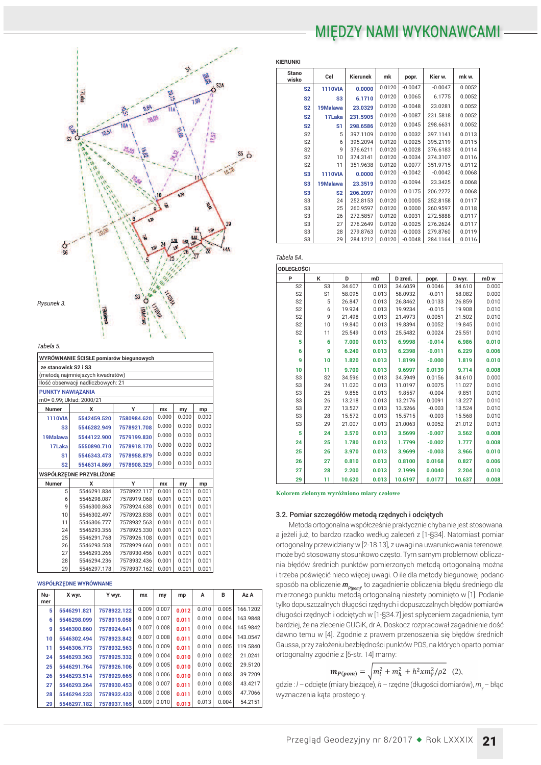## MIĘDZY NAMI WYKONAWCAMI-



*Tabela 5.*

| WYRÓWNANIE ŚCISŁE pomiarów biegunowych |                         |             |       |       |       |  |  |  |  |  |
|----------------------------------------|-------------------------|-------------|-------|-------|-------|--|--|--|--|--|
| ze stanowisk S2 i S3                   |                         |             |       |       |       |  |  |  |  |  |
| (metodą najmniejszych kwadratów)       |                         |             |       |       |       |  |  |  |  |  |
| Ilość obserwacji nadliczbowych: 21     |                         |             |       |       |       |  |  |  |  |  |
| <b>PUNKTY NAWIAZANIA</b>               |                         |             |       |       |       |  |  |  |  |  |
| m0= 0.99; Układ: 2000/21               |                         |             |       |       |       |  |  |  |  |  |
| <b>Numer</b>                           | x                       | Y           | mx    | my    | mp    |  |  |  |  |  |
| <b>1110VIA</b>                         | 5542459.520             | 7580984.620 | 0.000 | 0.000 | 0.000 |  |  |  |  |  |
| S3                                     | 5546282.949             | 7578921.708 | 0.000 | 0.000 | 0.000 |  |  |  |  |  |
| 19Malawa                               | 5544122.900             | 7579199.830 | 0.000 | 0.000 | 0.000 |  |  |  |  |  |
| 17Laka                                 | 5550890.710             | 7578918.170 | 0.000 | 0.000 | 0.000 |  |  |  |  |  |
| S1                                     | 5546343.473             | 7578958.879 | 0.000 | 0.000 | 0.000 |  |  |  |  |  |
| S <sub>2</sub>                         | 5546314.869             | 7578908.329 | 0.000 | 0.000 | 0.000 |  |  |  |  |  |
|                                        | WSPÓŁRZĘDNE PRZYBLIŻONE |             |       |       |       |  |  |  |  |  |
| <b>Numer</b>                           | x                       | Y           | mx    | my    | mp    |  |  |  |  |  |
| 5                                      | 5546291.834             | 7578922.117 | 0.001 | 0.001 | 0.001 |  |  |  |  |  |
| 6                                      | 5546298.087             | 7578919.068 | 0.001 | 0.001 | 0.001 |  |  |  |  |  |
| 9                                      | 5546300.863             | 7578924.638 | 0.001 | 0.001 | 0.001 |  |  |  |  |  |
| 10                                     | 5546302.497             | 7578923.838 | 0.001 | 0.001 | 0.001 |  |  |  |  |  |
| 11                                     | 5546306.777             | 7578932.563 | 0.001 | 0.001 | 0.001 |  |  |  |  |  |
| 24                                     | 5546293.356             | 7578925.330 | 0.001 | 0.001 | 0.001 |  |  |  |  |  |
| 25                                     | 5546291.768             | 7578926.108 | 0.001 | 0.001 | 0.001 |  |  |  |  |  |
| 26                                     | 5546293.508             | 7578929.660 | 0.001 | 0.001 | 0.001 |  |  |  |  |  |
| 27                                     | 5546293.266             | 7578930.456 | 0.001 | 0.001 | 0.001 |  |  |  |  |  |
| 28                                     | 5546294.236             | 7578932.436 | 0.001 | 0.001 | 0.001 |  |  |  |  |  |
| 29                                     | 5546297.178             | 7578937.162 | 0.001 | 0.001 | 0.001 |  |  |  |  |  |

#### **WSPÓŁRZEDNE WYRÓWNANE**

| Nu- | X wyr.      | Y wyr.      | <b>mx</b> | my    | mp    | A     | в     | Az A     |
|-----|-------------|-------------|-----------|-------|-------|-------|-------|----------|
| mer |             |             |           |       |       |       |       |          |
| 5   | 5546291.821 | 7578922.122 | 0.009     | 0.007 | 0.012 | 0.010 | 0.005 | 166.1202 |
| 6   | 5546298.099 | 7578919.058 | 0.009     | 0.007 | 0.011 | 0.010 | 0.004 | 163.9848 |
| 9   | 5546300.860 | 7578924.641 | 0.007     | 0.008 | 0.011 | 0.010 | 0.004 | 145.9842 |
| 10  | 5546302.494 | 7578923.842 | 0.007     | 0.008 | 0.011 | 0.010 | 0.004 | 143.0547 |
| 11  | 5546306.773 | 7578932.563 | 0.006     | 0.009 | 0.011 | 0.010 | 0.005 | 119.5840 |
| 24  | 5546293.363 | 7578925.332 | 0.009     | 0.004 | 0.010 | 0.010 | 0.002 | 21.0241  |
| 25  | 5546291.764 | 7578926.106 | 0.009     | 0.005 | 0.010 | 0.010 | 0.002 | 29.5120  |
| 26  | 5546293.514 | 7578929.665 | 0.008     | 0.006 | 0.010 | 0.010 | 0.003 | 39.7209  |
| 27  | 5546293.264 | 7578930.453 | 0.008     | 0.007 | 0.011 | 0.010 | 0.003 | 43.4217  |
| 28  | 5546294.233 | 7578932.433 | 0.008     | 0.008 | 0.011 | 0.010 | 0.003 | 47.7066  |
| 29  | 5546297.182 | 7578937.165 | 0.009     | 0.010 | 0.013 | 0.013 | 0.004 | 54.2151  |

| <b>Stano</b><br>wisko | Cel            | Kierunek | mk     | popr.     | Kier w.   | mk w.  |
|-----------------------|----------------|----------|--------|-----------|-----------|--------|
| S <sub>2</sub>        | <b>1110VIA</b> | 0.0000   | 0.0120 | $-0.0047$ | $-0.0047$ | 0.0052 |
| S <sub>2</sub>        | S <sub>3</sub> | 6.1710   | 0.0120 | 0.0065    | 6.1775    | 0.0052 |
| S <sub>2</sub>        | 19Malawa       | 23.0329  | 0.0120 | $-0.0048$ | 23.0281   | 0.0052 |
| S <sub>2</sub>        | 17Laka         | 231.5905 | 0.0120 | $-0.0087$ | 231.5818  | 0.0052 |
| S <sub>2</sub>        | S1             | 298.6586 | 0.0120 | 0.0045    | 298.6631  | 0.0052 |
| S <sub>2</sub>        | 5              | 397.1109 | 0.0120 | 0.0032    | 397.1141  | 0.0113 |
| S <sub>2</sub>        | 6              | 395.2094 | 0.0120 | 0.0025    | 395.2119  | 0.0115 |
| S <sub>2</sub>        | 9              | 376.6211 | 0.0120 | $-0.0028$ | 376.6183  | 0.0114 |
| S <sub>2</sub>        | 10             | 374.3141 | 0.0120 | $-0.0034$ | 374.3107  | 0.0116 |
| S <sub>2</sub>        | 11             | 351.9638 | 0.0120 | 0.0077    | 351.9715  | 0.0112 |
| S <sub>3</sub>        | <b>1110VIA</b> | 0.0000   | 0.0120 | $-0.0042$ | $-0.0042$ | 0.0068 |
| S <sub>3</sub>        | 19Malawa       | 23.3519  | 0.0120 | $-0.0094$ | 23.3425   | 0.0068 |
| S <sub>3</sub>        | S <sub>2</sub> | 206.2097 | 0.0120 | 0.0175    | 206.2272  | 0.0068 |
| S <sub>3</sub>        | 24             | 252.8153 | 0.0120 | 0.0005    | 252.8158  | 0.0117 |
| S <sub>3</sub>        | 25             | 260.9597 | 0.0120 | 0.0000    | 260.9597  | 0.0118 |
| S <sub>3</sub>        | 26             | 272.5857 | 0.0120 | 0.0031    | 272.5888  | 0.0117 |
| S <sub>3</sub>        | 27             | 276.2649 | 0.0120 | $-0.0025$ | 276.2624  | 0.0117 |
| S <sub>3</sub>        | 28             | 279.8763 | 0.0120 | $-0.0003$ | 279.8760  | 0.0119 |
| S <sub>3</sub>        | 29             | 284.1212 | 0.0120 | $-0.0048$ | 284.1164  | 0.0116 |

| <b>ODLEGŁOŚCI</b> |                |        |       |         |          |        |                 |
|-------------------|----------------|--------|-------|---------|----------|--------|-----------------|
| P                 | к              | D      | mD    | D zred. | popr.    | D wyr. | mD <sub>w</sub> |
| S <sub>2</sub>    | S <sub>3</sub> | 34.607 | 0.013 | 34.6059 | 0.0046   | 34.610 | 0.000           |
| S <sub>2</sub>    | S <sub>1</sub> | 58.095 | 0.013 | 58.0932 | $-0.011$ | 58.082 | 0.000           |
| S <sub>2</sub>    | 5              | 26.847 | 0.013 | 26.8462 | 0.0133   | 26.859 | 0.010           |
| S <sub>2</sub>    | 6              | 19.924 | 0.013 | 19.9234 | $-0.015$ | 19.908 | 0.010           |
| S <sub>2</sub>    | 9              | 21.498 | 0.013 | 21.4973 | 0.0051   | 21.502 | 0.010           |
| S <sub>2</sub>    | 10             | 19.840 | 0.013 | 19.8394 | 0.0052   | 19.845 | 0.010           |
| S <sub>2</sub>    | 11             | 25.549 | 0.013 | 25.5482 | 0.0024   | 25.551 | 0.010           |
| 5                 | 6              | 7.000  | 0.013 | 6.9998  | $-0.014$ | 6.986  | 0.010           |
| 6                 | 9              | 6.240  | 0.013 | 6.2398  | $-0.011$ | 6.229  | 0.006           |
| 9                 | 10             | 1.820  | 0.013 | 1.8199  | $-0.000$ | 1.819  | 0.010           |
| 10                | 11             | 9.700  | 0.013 | 9.6997  | 0.0139   | 9.714  | 0.008           |
| S <sub>3</sub>    | S <sub>2</sub> | 34.596 | 0.013 | 34.5949 | 0.0156   | 34.610 | 0.000           |
| S <sub>3</sub>    | 24             | 11.020 | 0.013 | 11.0197 | 0.0075   | 11.027 | 0.010           |
| S <sub>3</sub>    | 25             | 9.856  | 0.013 | 9.8557  | $-0.004$ | 9.851  | 0.010           |
| S3                | 26             | 13.218 | 0.013 | 13.2176 | 0.0091   | 13.227 | 0.010           |
| S <sub>3</sub>    | 27             | 13.527 | 0.013 | 13.5266 | $-0.003$ | 13.524 | 0.010           |
| S <sub>3</sub>    | 28             | 15.572 | 0.013 | 15.5715 | $-0.003$ | 15.568 | 0.010           |
| S <sub>3</sub>    | 29             | 21.007 | 0.013 | 21.0063 | 0.0052   | 21.012 | 0.013           |
| 5                 | 24             | 3.570  | 0.013 | 3.5699  | $-0.007$ | 3.562  | 0.008           |
| 24                | 25             | 1.780  | 0.013 | 1.7799  | $-0.002$ | 1.777  | 0.008           |
| 25                | 26             | 3.970  | 0.013 | 3.9699  | $-0.003$ | 3.966  | 0.010           |
| 26                | 27             | 0.810  | 0.013 | 0.8100  | 0.0168   | 0.827  | 0.006           |
| 27                | 28             | 2.200  | 0.013 | 2.1999  | 0.0040   | 2.204  | 0.010           |
| 29                | 11             | 10.620 | 0.013 | 10.6197 | 0.0177   | 10.637 | 0.008           |

Kolorem zielonym wyróżniono miary czołowe

### 3.2. Pomiar szczegółów metodą rzędnych i odciętych

Metoda ortogonalna współcześnie praktycznie chyba nie jest stosowana, a jeżeli już, to bardzo rzadko według zaleceń z [1-§34]. Natomiast pomiar ortogonalny przewidziany w [2-18.13], z uwagi na uwarunkowania terenowe, może być stosowany stosunkowo często. Tym samym problemowi obliczania błędów średnich punktów pomierzonych metodą ortogonalną można i trzeba poświęcić nieco więcej uwagi. O ile dla metody biegunowej podano sposób na obliczenie  $m_{P(soph)}$  to zagadnienie obliczenia błędu średniego dla mierzonego punktu metodą ortogonalną niestety pominięto w [1]. Podanie tylko dopuszczalnych długości rzędnych i dopuszczalnych błędów pomiarów długości rzędnych i odciętych w [1-§34.7] jest spłyceniem zagadnienia, tym bardziej, że na zlecenie GUGiK, dr A. Doskocz rozpracował zagadnienie dość dawno temu w [4]. Zgodnie z prawem przenoszenia się błędów średnich Gaussa, przy założeniu bezbłędności punktów POS, na których oparto pomiar ortogonalny zgodnie z [5-str. 14] mamy:

$$
\mathbf{m}_{P(pom)} = \sqrt{m_l^2 + m_h^2 + h^2 x m_V^2 / \rho^2} \quad (2),
$$

IFO *I*<br>International Contract Consumer Section Consumer Consumers Consumer Data del Section 2 Data del Section 2 Data wyznaczenia kąta prostego γ.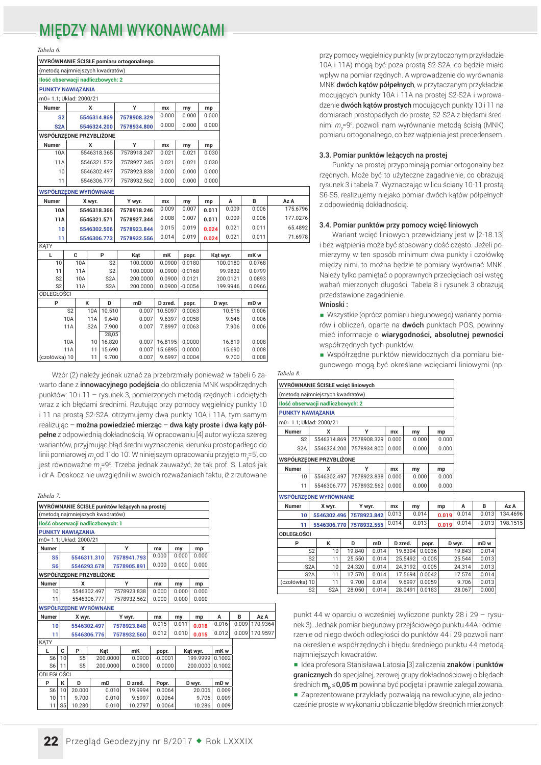### **MIEDZY NAMI WYKONAWCAM**

Tabela 6

|                   | x                 |                                                                                 | Y                                                                                                                                                                                                                                                                                                       | mx                                                                                                                                                                                                                                                                                     | my                                 | mp                                               |                                                                                                                                               |                                                                                       |                                                                 |
|-------------------|-------------------|---------------------------------------------------------------------------------|---------------------------------------------------------------------------------------------------------------------------------------------------------------------------------------------------------------------------------------------------------------------------------------------------------|----------------------------------------------------------------------------------------------------------------------------------------------------------------------------------------------------------------------------------------------------------------------------------------|------------------------------------|--------------------------------------------------|-----------------------------------------------------------------------------------------------------------------------------------------------|---------------------------------------------------------------------------------------|-----------------------------------------------------------------|
|                   |                   |                                                                                 | 7578908.329                                                                                                                                                                                                                                                                                             | 0.000                                                                                                                                                                                                                                                                                  | 0.000                              | 0.000                                            |                                                                                                                                               |                                                                                       |                                                                 |
|                   |                   |                                                                                 | 7578934.800                                                                                                                                                                                                                                                                                             | 0.000                                                                                                                                                                                                                                                                                  | 0.000                              | 0.000                                            |                                                                                                                                               |                                                                                       |                                                                 |
|                   |                   |                                                                                 |                                                                                                                                                                                                                                                                                                         |                                                                                                                                                                                                                                                                                        |                                    |                                                  |                                                                                                                                               |                                                                                       |                                                                 |
|                   | x                 |                                                                                 | Y                                                                                                                                                                                                                                                                                                       | mx                                                                                                                                                                                                                                                                                     |                                    |                                                  |                                                                                                                                               |                                                                                       |                                                                 |
|                   |                   |                                                                                 | 7578918.247                                                                                                                                                                                                                                                                                             | 0.021                                                                                                                                                                                                                                                                                  | 0.021                              | 0.030                                            |                                                                                                                                               |                                                                                       |                                                                 |
| 11A               |                   |                                                                                 | 7578927.345                                                                                                                                                                                                                                                                                             | 0.021                                                                                                                                                                                                                                                                                  | 0.021                              | 0.030                                            |                                                                                                                                               |                                                                                       |                                                                 |
| 10                |                   |                                                                                 | 7578923.838                                                                                                                                                                                                                                                                                             | 0.000                                                                                                                                                                                                                                                                                  | 0.000                              | 0.000                                            |                                                                                                                                               |                                                                                       |                                                                 |
| 11                |                   |                                                                                 | 7578932.562                                                                                                                                                                                                                                                                                             | 0.000                                                                                                                                                                                                                                                                                  | 0.000                              | 0.000                                            |                                                                                                                                               |                                                                                       |                                                                 |
|                   |                   |                                                                                 |                                                                                                                                                                                                                                                                                                         |                                                                                                                                                                                                                                                                                        |                                    |                                                  |                                                                                                                                               |                                                                                       |                                                                 |
|                   |                   |                                                                                 |                                                                                                                                                                                                                                                                                                         |                                                                                                                                                                                                                                                                                        |                                    |                                                  | A                                                                                                                                             | в                                                                                     | Az A                                                            |
|                   |                   |                                                                                 | 7578918.246                                                                                                                                                                                                                                                                                             | 0.009                                                                                                                                                                                                                                                                                  | 0.007                              |                                                  | 0.009                                                                                                                                         | 0.006                                                                                 | 175.6796                                                        |
|                   |                   |                                                                                 |                                                                                                                                                                                                                                                                                                         | 0.008                                                                                                                                                                                                                                                                                  | 0.007                              | 0.011                                            | 0.009                                                                                                                                         | 0.006                                                                                 | 177.0276                                                        |
|                   |                   |                                                                                 |                                                                                                                                                                                                                                                                                                         | 0.015                                                                                                                                                                                                                                                                                  | 0.019                              |                                                  | 0.021                                                                                                                                         | 0.011                                                                                 | 65.4892                                                         |
|                   |                   |                                                                                 | 7578932.556                                                                                                                                                                                                                                                                                             | 0.014                                                                                                                                                                                                                                                                                  | 0.019                              |                                                  | 0.021                                                                                                                                         | 0.011                                                                                 | 71.6978                                                         |
|                   |                   |                                                                                 |                                                                                                                                                                                                                                                                                                         |                                                                                                                                                                                                                                                                                        |                                    |                                                  |                                                                                                                                               |                                                                                       |                                                                 |
| C                 |                   | P                                                                               | Kat                                                                                                                                                                                                                                                                                                     | mK                                                                                                                                                                                                                                                                                     | popr.                              |                                                  |                                                                                                                                               | mK w                                                                                  |                                                                 |
|                   |                   | S <sub>2</sub>                                                                  | 100.0000                                                                                                                                                                                                                                                                                                | 0.0900                                                                                                                                                                                                                                                                                 |                                    |                                                  |                                                                                                                                               | 0.0768                                                                                |                                                                 |
|                   |                   |                                                                                 |                                                                                                                                                                                                                                                                                                         |                                                                                                                                                                                                                                                                                        |                                    |                                                  |                                                                                                                                               |                                                                                       |                                                                 |
|                   |                   |                                                                                 |                                                                                                                                                                                                                                                                                                         |                                                                                                                                                                                                                                                                                        |                                    |                                                  |                                                                                                                                               |                                                                                       |                                                                 |
| <b>ODLEGŁOŚCI</b> |                   |                                                                                 |                                                                                                                                                                                                                                                                                                         |                                                                                                                                                                                                                                                                                        |                                    |                                                  |                                                                                                                                               |                                                                                       |                                                                 |
|                   |                   |                                                                                 |                                                                                                                                                                                                                                                                                                         |                                                                                                                                                                                                                                                                                        |                                    |                                                  |                                                                                                                                               |                                                                                       |                                                                 |
| S <sub>2</sub>    | 10A               |                                                                                 | 0.007                                                                                                                                                                                                                                                                                                   | 10.5097                                                                                                                                                                                                                                                                                |                                    |                                                  | 10.516                                                                                                                                        | 0.006                                                                                 |                                                                 |
| 10A               | <b>11A</b>        |                                                                                 | 0.007                                                                                                                                                                                                                                                                                                   | 9.6397                                                                                                                                                                                                                                                                                 |                                    |                                                  | 9.646                                                                                                                                         | 0.006                                                                                 |                                                                 |
| 11A               | S <sub>2</sub> A  |                                                                                 | 0.007                                                                                                                                                                                                                                                                                                   | 7.8997                                                                                                                                                                                                                                                                                 |                                    |                                                  | 7.906                                                                                                                                         | 0.006                                                                                 |                                                                 |
|                   |                   |                                                                                 |                                                                                                                                                                                                                                                                                                         |                                                                                                                                                                                                                                                                                        |                                    |                                                  |                                                                                                                                               |                                                                                       |                                                                 |
|                   |                   |                                                                                 |                                                                                                                                                                                                                                                                                                         |                                                                                                                                                                                                                                                                                        |                                    |                                                  |                                                                                                                                               |                                                                                       |                                                                 |
| (czołówka) 10     | 11                |                                                                                 | 0.007                                                                                                                                                                                                                                                                                                   | 9.6997                                                                                                                                                                                                                                                                                 |                                    |                                                  | 9.700                                                                                                                                         | 0.008                                                                                 |                                                                 |
|                   | <b>10A</b><br>11A | <b>PUNKTY NAWIAZANIA</b><br>X wyr.<br>10A<br>11A<br>10A<br>11A<br>к<br>10<br>11 | m0= 1.1; Układ: 2000/21<br>5546314.869<br>5546324.200<br>WSPÓŁRZEDNE PRZYBLIŻONE<br>5546318.365<br>5546321.572<br>5546302.497<br>5546306.777<br><b>WSPÓŁRZEDNE WYRÓWNANE</b><br>5546318.366<br>5546321.571<br>5546302.506<br>5546306.773<br>S <sub>2</sub><br>S <sub>2</sub> A<br>S <sub>2</sub> A<br>D | WYRÓWNANIE ŚCISŁE pomiaru ortogonalnego<br>(metodą najmniejszych kwadratów)<br>Ilość obserwacji nadliczbowych: 2<br>Y wyr.<br>7578927.344<br>7578923.844<br>100.0000<br>200.0000<br>200.0000<br>mD<br>10.510<br>9.640<br>7.900<br>28,05<br>16.820<br>0.007<br>15.690<br>0.007<br>9.700 | mx<br>0.0900<br>D zred.<br>15.6895 | my<br>my<br>0.0900<br>0.0900<br>popr.<br>16.8195 | mp<br>mp<br>0.011<br>0.024<br>0.024<br>0.0180<br>$-0.0168$<br>0.0121<br>$-0.0054$<br>0.0063<br>0.0058<br>0.0063<br>0.0000<br>0.0000<br>0.0004 | Kąt wyr.<br>100.0180<br>99.9832<br>200.0121<br>199.9946<br>D wyr.<br>16.819<br>15.690 | 0.0799<br>0.0893<br>0.0966<br>mD <sub>w</sub><br>0.008<br>0.008 |

Wzór (2) należy jednak uznać za przebrzmiały ponieważ w tabeli 6 zawarto dane z *innowacyjnego podejścia* do obliczenia MNK współrzędnych punktów: 10 i 11 - rysunek 3, pomierzonych metodą rzędnych i odciętych wraz z ich błędami średnimi. Rzutując przy pomocy węgielnicy punkty 10 i 11 na prosta S2-S2A, otrzymujemy dwa punkty 10A i 11A, tym samym realizując – można powiedzieć mierząc – dwa kąty proste i dwa kąty półpełne z odpowiednią dokładnością. W opracowaniu [4] autor wylicza szereg wariantów, przyjmując błąd średni wyznaczenia kierunku prostopadłego do linii pomiarowej m od 1' do 10'. W niniejszym opracowaniu przyjęto m = 5', co jest równoważne  $m = 9^\circ$ . Trzeba jednak zauważyć, że tak prof. S. Latoś jak i dr A. Doskocz nie uwzględnili w swoich rozważaniach faktu, iż zrzutowane

| Tabela 7.                        |                         |                                   |     |                |                                               |                  |       |       |                           |                 |        |          |
|----------------------------------|-------------------------|-----------------------------------|-----|----------------|-----------------------------------------------|------------------|-------|-------|---------------------------|-----------------|--------|----------|
|                                  |                         |                                   |     |                | WYRÓWNANIE ŚCISŁE punktów leżących na prostej |                  |       |       |                           |                 |        |          |
|                                  |                         | (metodą najmniejszych kwadratów)  |     |                |                                               |                  |       |       |                           |                 |        |          |
|                                  |                         | Ilość obserwacji nadliczbowych: 1 |     |                |                                               |                  |       |       |                           |                 |        |          |
|                                  |                         | PUNKTY NAWIĄZANIA                 |     |                |                                               |                  |       |       |                           |                 |        |          |
|                                  |                         | m0= 1.1; Układ: 2000/21           |     |                |                                               |                  |       |       |                           |                 |        |          |
| <b>Numer</b>                     |                         | x                                 |     |                | Υ                                             | mx               |       | my    | mp                        |                 |        |          |
| S <sub>5</sub>                   |                         | 5546311.310                       |     |                | 7578941.793                                   | 0.000            |       | 0.000 | 0.000                     |                 |        |          |
| S <sub>6</sub>                   |                         | 5546293.678                       |     |                | 7578905.891                                   | 0.000            |       | 0.000 | 0.000                     |                 |        |          |
|                                  | WSPÓŁRZEDNE PRZYBLIŻONE |                                   |     |                |                                               |                  |       |       |                           |                 |        |          |
| <b>Numer</b><br>x                |                         |                                   |     |                | Υ                                             | mx               |       | my    | mp                        |                 |        |          |
|                                  | 5546302.497<br>10       |                                   |     |                | 7578923.838                                   | 0.000            |       | 0.000 | 0.000                     |                 |        |          |
| 5546306.777<br>7578932.562<br>11 |                         |                                   |     |                | 0.000                                         |                  | 0.000 | 0.000 |                           |                 |        |          |
|                                  |                         | <b>WSPÓŁRZEDNE WYRÓWNANE</b>      |     |                |                                               |                  |       |       |                           |                 |        |          |
| <b>Numer</b>                     |                         | X wyr.                            |     |                | Y wyr.                                        | mx               |       | my    | mp                        | А               | B      | Az A     |
| 10                               |                         | 5546302.497                       |     |                | 7578923.848                                   | 0.015            |       | 0.011 | 0.018                     | 0.016           | 0.009  | 170.9364 |
| 11                               |                         | 5546306.776                       |     |                | 7578932.560                                   | 0.012            |       | 0.010 | 0.015                     | 0.012           | 0.0091 | 170.9597 |
| <b>KATY</b>                      |                         |                                   |     |                |                                               |                  |       |       |                           |                 |        |          |
| L                                | C                       | P                                 | Kat |                | mK                                            | popr.            |       |       | Kat wyr.                  | mK w            |        |          |
| S <sub>6</sub>                   | 10                      | S <sub>5</sub>                    |     | 200.0000       | 0.0900                                        | $-0.0001$        |       |       | 199.9999                  | 0.1002          |        |          |
| S <sub>6</sub>                   | 11                      | S <sub>5</sub>                    |     | 200.0000       | 0.0900                                        | 0.0000           |       |       | 200.0000                  | 0.1002          |        |          |
| <b>ODLEGŁOŚCI</b>                |                         |                                   |     |                |                                               |                  |       |       |                           |                 |        |          |
| P                                | К                       | D                                 | mD  |                | D zred.                                       | Popr.            |       |       | D wyr.                    | mD <sub>w</sub> |        |          |
| S <sub>6</sub>                   | 10                      | 20,000                            |     | 0.010          | 19.9994                                       | 0.0064           |       |       | 20.006                    | 0.009           |        |          |
| 10<br>11                         | 11<br>or I              | 9.700<br>10.290                   |     | 0.010<br>0.010 | 9.6997<br>10.2707                             | 0.0064<br>0.005A |       |       | 9.706<br>10.00 $\epsilon$ | 0.009<br>0.000  |        |          |
|                                  |                         |                                   |     |                |                                               |                  |       |       |                           |                 |        |          |

przy pomocy węgielnicy punkty (w przytoczonym przykładzie 10A i 11A) mogą być poza prostą S2-S2A, co będzie miało wpływ na pomiar rzędnych. A wprowadzenie do wyrównania MNK dwóch kątów półpełnych, w przytaczanym przykładzie mocujących punkty 10A i 11A na prostej S2-S2A i wprowadzenie dwóch kątów prostych mocujących punkty 10 i 11 na domiarach prostopadłych do prostej S2-S2A z błędami średnimi m =9°, pozwoli nam wyrównanie metodą ścisłą (MNK) pomiaru ortogonalnego, co bez watpienia jest precedensem.

#### 3.3. Pomiar punktów leżących na prostej

Punkty na prostej przypominają pomiar ortogonalny bez rzędnych. Może być to użyteczne zagadnienie, co obrazują rysunek 3 i tabela 7. Wyznaczając w licu ściany 10-11 prostą S6-S5, realizujemy niejako pomiar dwóch kątów półpełnych z odpowiednią dokładnością.

### 3.4. Pomiar punktów przy pomocy wcięć liniowych

Wariant wcięć liniowych przewidziany jest w [2-18.13] i bez watpienia może być stosowany dość czesto. Jeżeli pomierzymy w ten sposób minimum dwa punkty i czołówke między nimi, to można będzie te pomiary wyrównać MNK. Należy tylko pamiętać o poprawnych przecięciach osi wstęg wahań mierzonych długości. Tabela 8 i rysunek 3 obrazują przedstawione zagadnienie.

#### Wnioski:

Wszystkie (oprócz pomiaru biegunowego) warianty pomiarów i obliczeń, oparte na dwóch punktach POS, powinny mieć informacie o wiarvgodności, absolutnej pewności współrzędnych tych punktów.

■ Współrzedne punktów niewidocznych dla pomiaru biegunowego moga być określane wcieciami liniowymi (np.

Tabela 8

| WYRÓWNANIE ŚCISŁE wcięć liniowych |                                                       |             |       |       |       |  |  |  |  |  |
|-----------------------------------|-------------------------------------------------------|-------------|-------|-------|-------|--|--|--|--|--|
| (metodą najmniejszych kwadratów)  |                                                       |             |       |       |       |  |  |  |  |  |
| Ilość obserwacji nadliczbowych: 2 |                                                       |             |       |       |       |  |  |  |  |  |
| <b>PUNKTY NAWIĄZANIA</b>          |                                                       |             |       |       |       |  |  |  |  |  |
| m0= 1.1; Układ: 2000/21           |                                                       |             |       |       |       |  |  |  |  |  |
| <b>Numer</b>                      | x                                                     | v           | mx    | my    | mp    |  |  |  |  |  |
| S <sub>2</sub>                    | 5546314.869                                           | 7578908.329 | 0.000 | 0.000 | 0.000 |  |  |  |  |  |
| S <sub>2</sub> A                  | 5546324.200<br>7578934.800<br>0.000<br>0.000<br>0.000 |             |       |       |       |  |  |  |  |  |
|                                   | WSPÓŁRZEDNE PRZYBLIŻONE                               |             |       |       |       |  |  |  |  |  |
| <b>Numer</b>                      | x                                                     | v           | mx    | my    | mp    |  |  |  |  |  |
| 10                                | 5546302.497                                           | 7578923.838 | 0.000 | 0.000 | 0.000 |  |  |  |  |  |
| 11                                | 5546306.777                                           | 7578932.562 | 0.000 | 0.000 | 0.000 |  |  |  |  |  |
|                                   | <b>WSPÓŁRZEDNE WYRÓWNANE</b>                          |             |       |       |       |  |  |  |  |  |
| <b>Numer</b>                      | X wyr.                                                | Y wyr.      | mx    | my    | mp    |  |  |  |  |  |
|                                   |                                                       |             |       |       |       |  |  |  |  |  |

| <b>Numer</b>      |                  | X wyr.      |                         | Y wyr.      | mx      | my      |                | mp    | A      | в     | Az A     |
|-------------------|------------------|-------------|-------------------------|-------------|---------|---------|----------------|-------|--------|-------|----------|
| 10                |                  | 5546302.496 |                         | 7578923.842 | 0.013   |         | 0.014          | 0.019 | 0.014  | 0.013 | 134.4696 |
| 11                |                  |             | 5546306.770 7578932.555 |             | 0.014   | 0.013   |                | 0.019 | 0.014  | 0.013 | 198.1515 |
| <b>ODLEGŁOŚCI</b> |                  |             |                         |             |         |         |                |       |        |       |          |
| P                 |                  | к           | D                       | mD          | D zred. |         | popr.          |       | D wyr. | mD w  |          |
|                   | S <sub>2</sub>   | 10          | 19.840                  | 0.014       |         | 19.8394 | 0.0036         |       | 19.843 | 0.014 |          |
|                   | S <sub>2</sub>   | 11          | 25.550                  | 0.014       |         | 25.5492 | $-0.005$       |       | 25.544 | 0.013 |          |
|                   | S <sub>2</sub> A | 10          | 24.320                  | 0.014       |         | 24.3192 | $-0.005$       |       | 24.314 | 0.013 |          |
|                   | S <sub>2</sub> A | 11          | 17.570                  | 0.014       |         | 17.5694 | 0.0042         |       | 17.574 | 0.014 |          |
| (czołówka) 10     |                  | 11          | 9.700                   | 0.014       |         | 9.6997  | 0.0059         |       | 9.706  | 0.013 |          |
|                   | S2               | S2A         | 28.050                  | 0.014       |         |         | 28 0491 0 0183 |       | 28.067 | 0.000 |          |

punkt 44 w oparciu o wcześniej wyliczone punkty 28 i 29 - rysunek 3). Jednak pomiar biegunowy przejściowego punktu 44A i odmierzenie od niego dwóch odległości do punktów 44 i 29 pozwoli nam na określenie współrzędnych i błędu średniego punktu 44 metodą najmniejszych kwadratów.

■ Idea profesora Stanisława Latosia [3] zaliczenia znaków i punktów granicznych do specjalnej, zerowej grupy dokładnościowej o błędach średnich  $m_{\rm p} \le 0.05$  m powinna być podjęta i prawnie zalegalizowana. ■ Zaprezentowane przykłady pozwalają na rewolucyjne, ale jednocześnie proste w wykonaniu obliczanie błędów średnich mierzonych